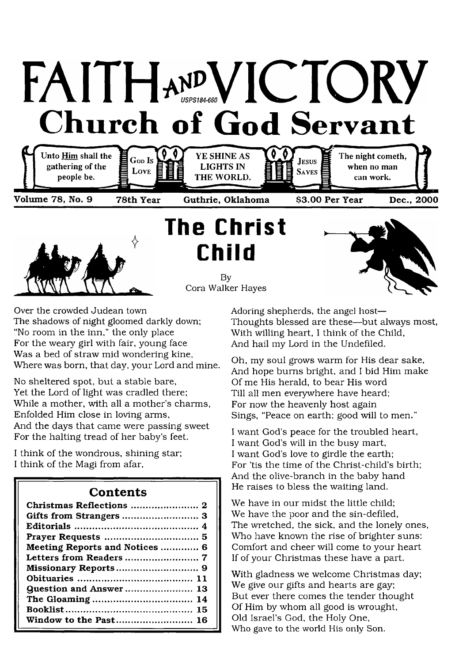



**The Christ Child**

> By Cora Walker Hayes



Over the crowded Judean town The shadows of night gloomed darkly down; "No room in the inn," the only place For the weary girl with fair, young face Was a bed of straw mid wondering kine, Where was born, that day, your Lord and mine.

No sheltered spot, but a stable bare, Yet the Lord of light was cradled there; While a mother, with all a mother's charms, Enfolded Him close in loving arms, And the days that came were passing sweet For the halting tread of her baby's feet.

I think of the wondrous, shining star; I think of the Magi from afar,

### **Contents**

| Christmas Reflections  2       |
|--------------------------------|
|                                |
|                                |
|                                |
| Meeting Reports and Notices 6  |
|                                |
|                                |
|                                |
| <b>Question and Answer  13</b> |
|                                |
|                                |
| Window to the Past 16          |

Adoring shepherds, the angel host— Thoughts blessed are these—but always most, With willing heart, I think of the Child, And hail my Lord in the Undefiled.

Oh, my soul grows warm for His dear sake, And hope bums bright, and I bid Him make Of me His herald, to bear His word Till all men everywhere have heard; For now the heavenly host again Sings, "Peace on earth; good will to men."

I want God's peace for the troubled heart, I want God's will in the busy mart, I want God's love to girdle the earth; For 'tis the time of the Christ-child's birth; And the olive-branch in the baby hand He raises to bless the waiting land.

We have in our midst the little child; We have the poor and the sin-defiled, The wretched, the sick, and the lonely ones, Who have known the rise of brighter suns: Comfort and cheer will come to your heart If of your Christmas these have a part.

With gladness we welcome Christmas day; We give our gifts and hearts are gay; But ever there comes the tender thought Of Him by whom all good is wrought, Old Israel's God, the Holy One, Who gave to the world His only Son.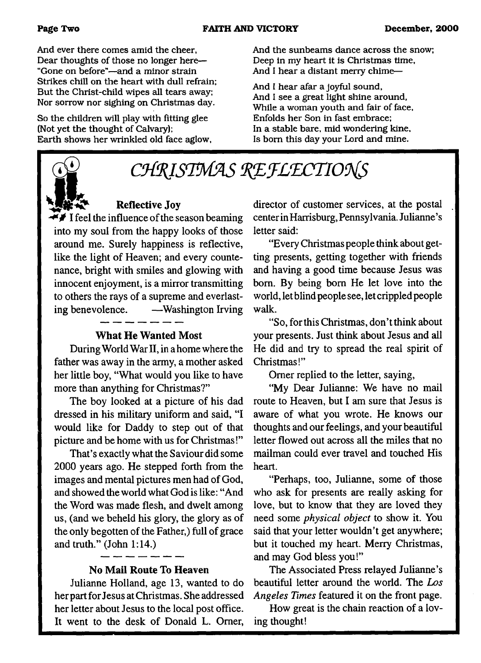And ever there comes amid the cheer, Dear thoughts of those no longer here— "Gone on before"—and a minor strain Strikes chill on the heart with dull refrain; But the Christ-child wipes all tears away; Nor sorrow nor sighing on Christmas day.

So the children will play with fitting glee (Not yet the thought of Calvary); Earth shows her wrinkled old face aglow, And the sunbeams dance across the snow; Deep in my heart it is Christmas time, And I hear a distant merry chime—

And I hear afar a joyful sound, And I see a great light shine around, While a woman youth and fair of face, Enfolds her Son in fast embrace; In a stable bare, mid wondering kine. Is bom this day your Lord and mine.

# CHRISTMAS REFLECTIONS

## **Reflective Joy**

 $\mathbf{F}$  I feel the influence of the season beaming into my soul from the happy looks of those around me. Surely happiness is reflective, like the light of Heaven; and every countenance, bright with smiles and glowing with innocent enjoyment, is a mirror transmitting to others the rays of a supreme and everlasting benevolence. — Washington Irving

### **What He Wanted Most**

During World War II, in a home where the father was away in the army, a mother asked her little boy, "What would you like to have more than anything for Christmas?"

The boy looked at a picture of his dad dressed in his military uniform and said, "I would like for Daddy to step out of that picture and be home with us for Christmas!"

That's exactly what the Saviour did some 2000 years ago. He stepped forth from the images and mental pictures men had of God, and showed the world what God is like: " And the Word was made flesh, and dwelt among us, (and we beheld his glory, the glory as of the only begotten of the Father,) full of grace and truth." (John 1:14.)

#### **No Mail Route To Heaven**

Julianne Holland, age 13, wanted to do her part for Jesus at Christmas. She addressed her letter about Jesus to the local post office. It went to the desk of Donald L. Orner,

director of customer services, at the postal center in Harrisburg, Pennsylvania. Julianne's letter said:

"Every Christmas people think about getting presents, getting together with friends and having a good time because Jesus was bom. By being bom He let love into the world, let blind people see, let crippled people walk.

"So, for this Christmas, don't think about your presents. Just think about Jesus and all He did and try to spread the real spirit of Christmas!"

Omer replied to the letter, saying,

"My Dear Julianne: We have no mail route to Heaven, but I am sure that Jesus is aware of what you wrote. He knows our thoughts and our feelings, and your beautiful letter flowed out across all the miles that no mailman could ever travel and touched His heart.

"Perhaps, too, Julianne, some of those who ask for presents are really asking for love, but to know that they are loved they need some *physical object* to show it. You said that your letter wouldn't get anywhere; but it touched my heart. Merry Christmas, and may God bless you!"

The Associated Press relayed Julianne's beautiful letter around the world. The *Los Angeles Times* featured it on the front page.

How great is the chain reaction of a loving thought!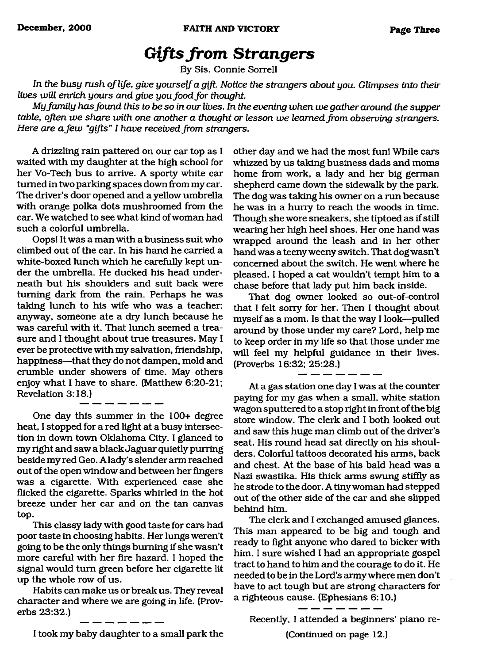# *Gifts from Strangers*

By Sis. Connie Sorrell

<span id="page-2-0"></span>In the busy rush of life, give yourself a gift. Notice the strangers about you. Glimpses into their *lives will enrich yours and give you food for thought.* 

*My fam ily has found this to be so in our lives. In the evening when we gather around the supper table, often we share with one another a thought or lesson we learned from observing strangers. Here are a few "gifts" I have received from strangers.*

*A* drizzling rain pattered on our car top as I waited with my daughter at the high school for her Vo-Tech bus to arrive. A sporty white car turned in two parking spaces down from my car. The driver's door opened and a yellow umbrella with orange polka dots mushroomed from the car. We watched to see what kind of woman had such a colorful umbrella.

Oops! It was a man with a business suit who climbed out of the car. In his hand he carried a white-boxed lunch which he carefully kept under the umbrella. He ducked his head underneath but his shoulders and suit back were turning dark from the rain. Perhaps he was taking lunch to his wife who was a teacher; anyway, someone ate a dry lunch because he was careful with it. That lunch seemed a treasure and I thought about true treasures. May I ever be protective with my salvation, friendship, happiness—that they do not dampen, mold and crumble under showers of time. May others enjoy what I have to share. (Matthew 6:20-21; Revelation 3:18.)

One day this summer in the 100+ degree heat, I stopped for a red light at a busy intersection in down town Oklahoma City. I glanced to my right and saw a black Jaguar quietly purring beside my red Geo. A lady's slender arm reached out of the open window and between her fingers was a cigarette. With experienced ease she flicked the cigarette. Sparks whirled in the hot breeze under her car and on the tan canvas top.

This classy lady with good taste for cars had poor taste in choosing habits. Her lungs weren't going to be the only things burning if she wasn't more careful with her fire hazard. I hoped the signal would turn green before her cigarette lit up the whole row of us.

Habits can make us or break us. They reveal character and where we are going in life. (Proverbs 23:32.)

other day and we had the most fun! While cars whizzed by us taking business dads and moms home from work, a lady and her big german shepherd came down the sidewalk by the park. The dog was taking his owner on a run because he was in a hurry to reach the woods in time. Though she wore sneakers, she tiptoed as if still wearing her high heel shoes. Her one hand was wrapped around the leash and in her other hand was a teeny weeny switch. That dog wasn't concerned about the switch. He went where he pleased. I hoped a cat wouldn't tempt him to a chase before that lady put him back inside.

That dog owner looked so out-of-control that I felt sorry for her. Then I thought about myself as a mom. Is that the way I look—pulled around by those under my care? Lord, help me to keep order in my life so that those under me will feel my helpful guidance in their lives. (Proverbs 16:32; 25:28.)

At a gas station one day I was at the counter paying for my gas when a small, white station wagon sputtered to a stop right in front of the big store window. The clerk and I both looked out and saw this huge man climb out of the driver's seat. His round head sat directly on his shoulders. Colorful tattoos decorated his arms, back and chest. At the base of his bald head was a Nazi swastika. His thick arms swung stiffly as he strode to the door. A tiny woman had stepped out of the other side of the car and she slipped behind him.

The clerk and I exchanged amused glances. This man appeared to be big and tough and ready to fight anyone who dared to bicker with him. I sure wished I had an appropriate gospel tract to hand to him and the courage to do it. He needed to be in the Lord's army where men don't have to act tough but are strong characters for a righteous cause. (Ephesians 6:10.)

Recently, I attended a beginners' piano re-

(Continued on page 12.)

I took my baby daughter to a small park the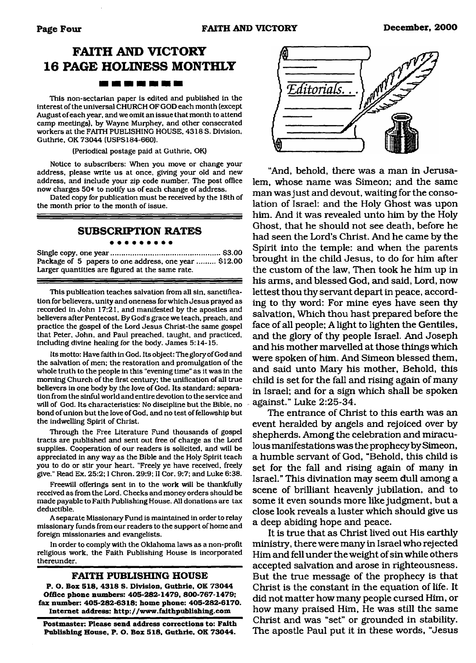# **FAITH AND VICTORY 16 PAGE HOLINESS MONTHLY**

This non-sectarian paper is edited and published in the interest of the universal CHURCH OF GOD each month (except August of each year, and we omit an issue that month to attend camp meetings), by Wayne Murphey, and other consecrated workers at the FAITH PUBLISHING HOUSE. 4318 S. Division. Guthrie. OK 73044 (USPS184-660).

(Periodical postage paid at Guthrie, OK)

Notice to subscribers: When you move or change your address, please write us at once, giving your old and new address, and include your zip code number. The post office now charges 50\* to notify us of each change of address.

Dated copy for publication must be received by the 18th of the month prior to the month of issue.

#### **SUBSCRIPTION RATES**

. . . . . . . . .

Single copy, one year..................................................... \$3.00 Package of 5 papers to one address, one year ......... \$12.00 Larger quantities are figured at the same rate.

This publication teaches salvation from all sin. sanctification for believers, unity and oneness for which Jesus prayed as recorded in John 17:21, and manifested by the apostles and believers after Pentecost. By God's grace we teach, preach, and practice the gospel of the Lord Jesus Christ-the same gospel that Peter, John, and Paul preached, taught, and practiced, including divine healing for the body. James 5:14-15.

Its motto: Have faith in God. Its object: The glory of God and the salvation of men; the restoration and promulgation of the whole truth to the people in this "evening time" as it was in the morning Church of the first century; the unification of all true believers in one body by the love of God. Its standard: separation from the sinful world and entire devotion to the service and will of God. Its characteristics: No discipline but the Bible, no bond of union but the love of God, and no test of fellowship but the indwelling Spirit of Christ.

Through the Free Literature Fund thousands of gospel tracts are published and sent out free of charge as the Lord supplies. Cooperation of our readers is solicited, and will be appreciated in any way as the Bible and the Holy Spirit teach you to do or stir your heart. "Freely ye have received, freely give." Read Ex. 25:2; I Chron. 29:9; II Cor. 9:7; and Luke 6:38.

Freewill offerings sent in to the work will be thankfully received as from the Lord. Checks and money orders should be made payable to Faith Publishing House. All donations are tax deductible.

A separate Missionary Fund is maintained in order to relay missionary funds from our readers to the support of home and foreign missionaries and evangelists.

In order to comply with the Oklahoma laws as a non-profit religious work, the Faith Publishing House is incorporated thereunder.

#### **FAITH PUBLISHING HOUSE**

**P. O. Box 518. 4318** S. **Division. Guthrie. OK 73044 Office phone numbers: 405-282-1479, 800-767-1479; fax number: 405-282-6318; home phone: 405-282-6170. Internet address: <http://www.faithpublishing.com>**

**Postmaster: Please send address corrections to: Faith Publishing House, P. O. Box 518, Guthrie, OK 73044.**



"And, behold, there was a man in Jerusalem, whose name was Simeon; and the same man was just and devout, waiting for the consolation of Israel; and the Holy Ghost was upon him. And it was revealed unto him by the Holy Ghost, that he should not see death, before he had seen the Lord's Christ. And he came by the Spirit into the temple; and when the parents brought in the child Jesus, to do for him after the custom of the law, Then took he him up in his arms, and blessed God, and said, Lord, now lettest thou thy servant depart in peace, according to thy word; For mine eyes have seen thy salvation, Which thou hast prepared before the face of all people; A light to lighten the Gentiles, and the glory of thy people Israel. And Joseph and his mother marvelled at those things which were spoken of him. And Simeon blessed them, and said unto Mary his mother, Behold, this child is set for the fall and rising again of many in Israel; and for a sign which shall be spoken against." Luke 2;25-34.

The entrance of Christ to this earth was an event heralded by *angels* and rejoiced over by shepherds. Among the celebration and miraculous manifestations was the prophecy by Simeon, a humble servant of God, "Behold, this child is set for the fall and rising again of many in Israel." This divination may seem dull among a scene of brilliant heavenly jubilation, and to some it even sounds more like judgment, but a close look reveals a luster which should give us a deep abiding hope and peace.

It is true that as Christ lived out His earthly ministry, there were many in Israel who rejected Him and fell under the weight of sin while others accepted salvation and arose in righteousness. But the true message of the prophecy is that Christ is the constant in the equation of life. It did not matter how many people cursed Him, or how many praised Him, He was still the same Christ and was "set" or grounded in stability. The apostle Paul put it in these words, "Jesus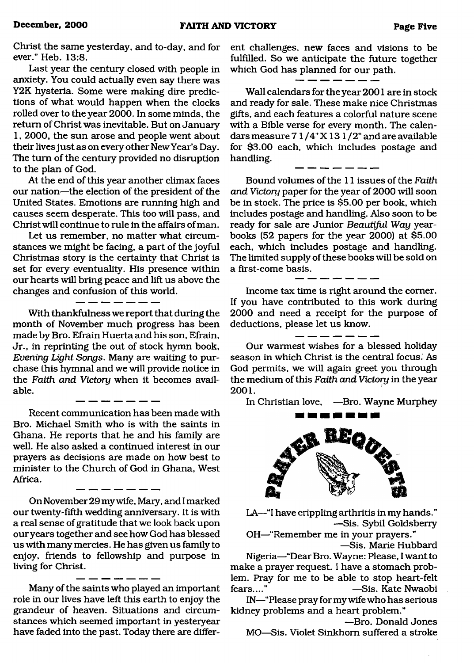Christ the same yesterday, and to-day, and for ever." Heb. 13:8.

Last year the century closed with people in anxiety. You could actually even say there was Y2K hysteria. Some were making dire predictions of what would happen when the clocks rolled over to the year 2000. In some minds, the return of Christ was inevitable. But on January 1, 2000, the sun arose and people went about their lives just as on every other New Year's Day. The turn of the century provided no disruption to the plan of God.

At the end of this year another climax faces our nation—the election of the president of the United States. Emotions are running high and causes seem desperate. This too will pass, and Christ will continue to rule in the affairs of man.

Let us remember, no matter what circumstances we might be facing, a part of the joyful Christmas story is the certainty that Christ is set for every eventuality. His presence within our hearts will bring peace and lift us above the changes and confusion of this world.

With thankfulness we report that during the month of November much progress has been made by Bro. Efrain Huerta and his son, Efrain, Jr., in reprinting the out of stock hymn book, *Everting Light Songs.* Many are waiting to purchase this hymnal and we will provide notice in the *Faith and Victory* when it becomes available.

Recent communication has been made with Bro. Michael Smith who is with the saints in Ghana. He reports that he and his family are well. He also asked a continued interest in our prayers as decisions are made on how best to minister to the Church of God in Ghana, West Africa.

On November 29 my wife, Mary, and I marked our twenty-fifth wedding anniversary. It is with a real sense of gratitude that we look back upon our years together and see how God has blessed us with many mercies. He has given us family to enjoy, friends to fellowship and purpose in living for Christ.

Many of the saints who played an important role in our lives have left this earth to enjoy the grandeur of heaven. Situations and circumstances which seemed important in yesteryear have faded into the past. Today there are different challenges, new faces and visions to be fulfilled. So we anticipate the future together which God has planned for our path.

Wall calendars for the year 2001 are in stock and ready for sale. These make nice Christmas gifts, and each features a colorful nature scene with a Bible verse for every month. The calendars measure  $71/4$ " X 13  $1/2$ " and are available for \$3.00 each, which includes postage and handling.

Bound volumes of the 11 issues of the *Faith and Victory* paper for the year of 2000 will soon be in stock. The price is \$5.00 per book, which includes postage and handling. Also soon to be ready for sale are Junior *Beautiful Way* yearbooks (52 papers for the year 2000) at \$5.00 each, which includes postage and handling. The limited supply of these books will be sold on a first-come basis.

Income tax time is right around the comer. If you have contributed to this work during 2000 and need a receipt for the purpose of deductions, please let us know.

 $-$ 

Our warmest wishes for a blessed holiday season in which Christ is the central focus. As God permits, we will again greet you through the medium of this *Faith and Victory* in the year **2001.**

In Christian love, —Bro. Wayne Murphey



LA—"I have crippling arthritis in my hands." —Sis. Sybil Goldsberry

OH—"Remember me in your prayers." —Sis. Marie Hubbard

Nigeria—"Dear Bro. Wayne: Please, I want to make a prayer request. I have a stomach problem. Pray for me to be able to stop heart-felt -Sis. Kate Nwaobi

IN—"Please pray for my wife who has serious kidney problems and a heart problem."

—Bro. Donald Jones MO—Sis. Violet Sinkhom suffered a stroke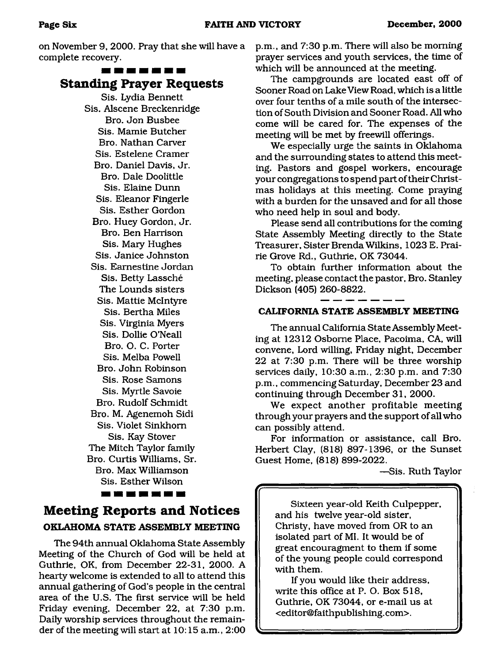on November 9, 2000. Pray that she will have a complete recovery.

#### ------

### **Standing Prayer Requests**

Sis. Lydia Bennett Sis. Alscene Breckenridge Bro. Jon Busbee Sis. Mamie Butcher Bro. Nathan Carver Sis. Estelene Cramer Bro. Daniel Davis, Jr. Bro. Dale Doolittle Sis. Elaine Dunn Sis. Eleanor Fingerle Sis. Esther Gordon Bro. Huey Gordon, Jr. Bro. Ben Harrison Sis. Mary Hughes Sis. Janice Johnston Sis. Eamestine Jordan Sis. Betty Lassche The Lounds sisters Sis. Mattie McIntyre Sis. Bertha Miles Sis. Virginia Myers Sis. Dollie O'Neall Bro. O. C. Porter Sis. Melba Powell Bro. John Robinson Sis. Rose Samons Sis. Myrtle Savoie Bro. Rudolf Schmidt Bro. M. Agenemoh Sidi Sis. Violet Sinkhom Sis. Kay Stover The Mitch Taylor family Bro. Curtis Williams, Sr. Bro. Max Williamson Sis. Esther Wilson -------

# <span id="page-5-0"></span>**Meeting Reports and Notices OKLAHOMA STATE ASSEMBLY MEETING**

The 94th annual Oklahoma State Assembly Meeting of the Church of God will be held at Guthrie, OK, from December 22-31, 2000. A hearty welcome is extended to all to attend this annual gathering of God's people in the central area of the U.S. The first service will be held Friday evening, December 22, at 7:30 p.m. Daily worship services throughout the remainder of the meeting will start at 10:15 a.m., 2:00

p.m., and 7:30 p.m. There will also be morning prayer services and youth services, the time of which will be announced at the meeting.

The campgrounds are located east off of Sooner Road on Lake View Road, which is a little over four tenths of a mile south of the intersection of South Division and Sooner Road. All who come will be cared for. The expenses of the meeting will be met by freewill offerings.

We especially urge the saints in Oklahoma and the surrounding states to attend this meeting. Pastors and gospel workers, encourage your congregations to spend part of their Christmas holidays at this meeting. Come praying with a burden for the unsaved and for all those who need help in soul and body.

Please send all contributions for the coming State Assembly Meeting directly to the State Treasurer, Sister Brenda Wilkins, 1023 E. Prairie Grove Rd., Guthrie, OK 73044.

To obtain further information about the meeting, please contact the pastor, Bro. Stanley Dickson (405) 260-8822.

#### **CALIFORNIA STATE ASSEMBLY MEETING**

The annual California State Assembly Meeting at 12312 Osborne Place, Pacoima, CA, will convene, Lord willing, Friday night, December 22 at 7:30 p.m. There will be three worship services daily, 10:30 a.m., 2:30 p.m. and 7:30 p.m., commencing Saturday, December 23 and continuing through December 31, 2000.

We expect another profitable meeting through your prayers and the support of all who can possibly attend.

For information or assistance, call Bro. Herbert Clay, (818) 897-1396, or the Sunset Guest Home, (818) 899-2022.

v--------------------------------------------------------y

—Sis. Ruth Taylor

**4**

Sixteen year-old Keith Culpepper, and his twelve year-old sister, Christy, have moved from OR to an isolated part of MI. It would be of great encouragment to them if some of the young people could correspond with them.

If you would like their address, write this office at P. O. Box 518, Guthrie, OK 73044, or e-mail us at <editor@faithpublishing. com>.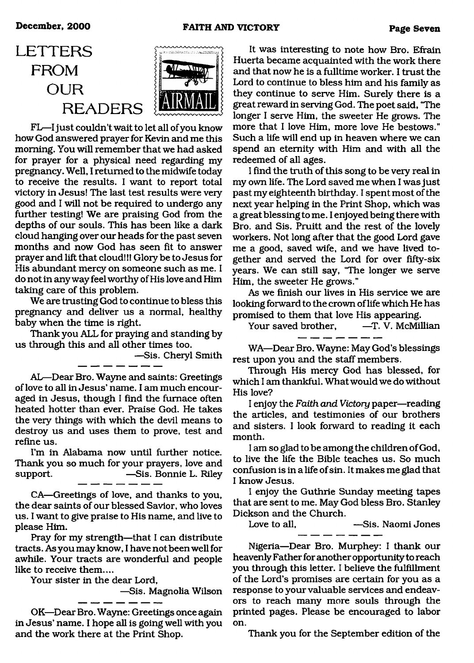# <span id="page-6-0"></span>**LETTERS FROM OUR READERS**



FL—I just couldn't wait to let all of you know how God answered prayer for Kevin and me this morning. You will remember that we had asked for prayer for a physical need regarding my pregnancy. Well, I returned to the midwife today to receive the results. I want to report total victory in Jesus! The last test results were very good and I will not be required to undergo any further testing! We are praising God from the depths of our souls. This has been like a dark cloud hanging over our heads for the past seven months and now God has seen fit to answer prayer and lift that cloud!!! Glory be to Jesus for His abundant mercy on someone such as me. I do not in anyway feel worthy of His love and Him taking care of this problem.

We are trusting God to continue to bless this pregnancy and deliver us a normal, healthy baby when the time is right.

Thank you ALL for praying and standing by us through this and all other times too.

—Sis. Cheryl Smith

AL—Dear Bro. Wayne and saints: Greetings of love to all in Jesus' name. I am much encouraged in Jesus, though I find the furnace often heated hotter than ever. Praise God. He takes the very things with which the devil means to destroy us and uses them to prove, test and refine us.

I'm in Alabama now until further notice. Thank you so much for your prayers, love and support. — —Sis. Bonnie L. Riley

CA—Greetings of love, and thanks to you, the dear saints of our blessed Savior, who loves us. I want to give praise to His name, and live to please Him.

Pray for my strength—that I can distribute tracts. As you may know, I have not been well for awhile. Your tracts are wonderful and people like to receive them....

Your sister in the dear Lord,

—Sis. Magnolia Wilson

OK—Dear Bro. Wayne: Greetings once again in Jesus' name. I hope all is going well with you and the work there at the Print Shop.

. ... ... ... .

It was interesting to note how Bro. Efrain Huerta became acquainted with the work there and that now he is a fulltime worker. I trust the Lord to continue to bless him and his family as they continue to serve Him. Surely there is a great reward in serving God. The poet said, "The longer I serve Him, the sweeter He grows. The more that I love Him, more love He bestows." Such a life will end up in heaven where we can spend an eternity with Him and with all the redeemed of all ages.

I find the truth of this song to be very real in my own life. The Lord saved me when I was just past my eighteenth birthday. I spent most of the next year helping in the Print Shop, which was a great blessing to me. I enjoyed being there with Bro. and Sis. Pruitt and the rest of the lovely workers. Not long after that the good Lord gave me a good, saved wife, and we have lived together and served the Lord for over fifty-six years. We can still say, "The longer we serve Him, the sweeter He grows."

As we finish our lives in His service we are looking forward to the crown of life which He has promised to them that love His appearing.

Your saved brother, - - T. V. McMillian

WA—Dear Bro. Wayne: May God's blessings rest upon you and the staff members.

Through His mercy God has blessed, for which I am thankful. What would we do without His love?

I enjoy the *Faith and Victory* paper—reading the articles, and testimonies of our brothers and sisters. I look forward to reading it each month.

I am so glad to be among the children of God, to live the life the Bible teaches us. So much confusion is in a life of sin. It makes me glad that I know Jesus.

I enjoy the Guthrie Sunday meeting tapes that are sent to me. May God bless Bro. Stanley Dickson and the Church.

Love to all. — — — Sis. Naomi Jones

Nigeria—Dear Bro. Murphey: I thank our heavenly Father for another opportunity to reach you through this letter. I believe the fulfillment of the Lord's promises are certain for you as a response to your valuable services and endeavors to reach many more souls through the printed pages. Please be encouraged to labor on.

Thank you for the September edition of the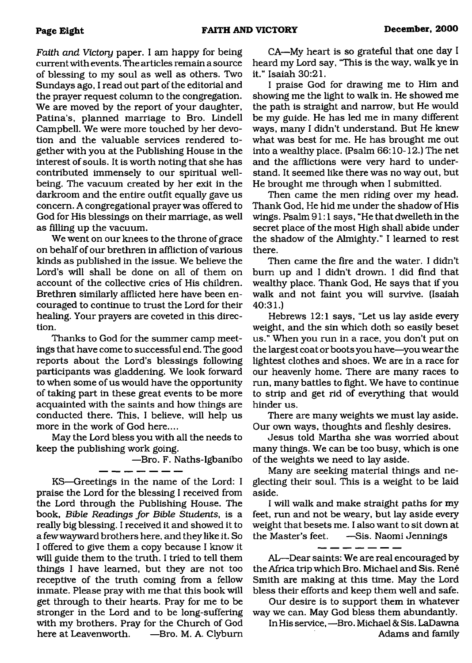*Faith and Victory* paper. I am happy for being current with events. The articles remain a source of blessing to my soul as well as others. Two Sundays ago, I read out part of the editorial and the prayer request column to the congregation. We are moved by the report of your daughter, Patina's, planned marriage to Bro. Lindell Campbell. We were more touched by her devotion and the valuable services rendered together with you at the Publishing House in the interest of souls. It is worth noting that she has contributed immensely to our spiritual wellbeing. The vacuum created by her exit in the darkroom and the entire outfit equally gave us concern. A congregational prayer was offered to God for His blessings on their marriage, as well as filling up the vacuum.

We went on our knees to the throne of grace on behalf of our brethren in affliction of various kinds as published in the issue. We believe the Lord's will shall be done on all of them on account of the collective cries of His children. Brethren similarly afflicted here have been encouraged to continue to trust the Lord for their healing. Your prayers are coveted in this direction.

Thanks to God for the summer camp meetings that have come to successful end. The good reports about the Lord's blessings following participants was gladdening. We look forward to when some of us would have the opportunity of taking part in these great events to be more acquainted with the saints and how things are conducted there. This, I believe, will help us more in the work of God here....

May the Lord bless you with all the needs to keep the publishing work going.

—Bro. F. Naths-Igbanibo

KS—Greetings in the name of the Lord: I praise the Lord for the blessing I received from the Lord through the Publishing House. The book, *Bible Readings for Bible Students*, is a really big blessing. I received it and showed it to a few wayward brothers here, and they like it. So I offered to give them a copy because I know it will guide them to the'truth. I tried to tell them things I have learned, but they are not too receptive of the truth coming from a fellow inmate. Please pray with me that this book will get through to their hearts. Pray for me to be stronger in the Lord and to be long-suffering with my brothers. Pray for the Church of God here at Leavenworth. —Bro. M. A. Clyburn

CA—My heart is so grateful that one day I heard my Lord say, "This is the way, walk ye in it." Isaiah 30:21.

I praise God for drawing me to Him and showing me the light to walk in. He showed me the path is straight and narrow, but He would be my guide. He has led me in many different ways, many I didn't understand. But He knew what was best for me. He has brought me out into a wealthy place. (Psalm 66:10-12.) The net and the afflictions were very hard to understand. It seemed like there was no way out, but He brought me through when I submitted.

Then came the men riding over my head. Thank God, He hid me under the shadow of His wings. Psalm 91:1 says, "He that dwelleth in the secret place of the most High shall abide under the shadow of the Almighty." I learned to rest there.

Then came the fire and the water. I didn't bum up and I didn't drown. I did find that wealthy place. Thank God, He says that if you walk and not faint you will survive. (Isaiah 40:31.)

Hebrews 12:1 says, "Let us lay aside every weight, and the sin which doth so easily beset us." When you run in a race, you don't put on the largest coat or boots you have—you wear the lightest clothes and shoes. We are in a race for our heavenly home. There are many races to run, many battles to fight. We have to continue to strip and get rid of everything that would hinder us.

There are many weights we must lay aside. Our own ways, thoughts and fleshly desires.

Jesus told Martha she was worried about many things. We can be too busy, which is one of the weights we need to lay aside.

Many are seeking material things and neglecting their soul. This is a weight to be laid aside.

I will walk and make straight paths for my feet, mn and not be weary, but lay aside every weight that besets me. I also want to sit down at the Master's feet. —Sis. Naomi Jennings

- - - - - - -

AL—Dear saints: We are real encouraged by the Africa trip which Bro. Michael and Sis. René Smith are making at this time. May the Lord bless their efforts and keep them well and safe.

Our desire is to support them in whatever way we can. May God bless them abundantly.

In His service, —Bro. Michael & Sis. LaDawna Adams and family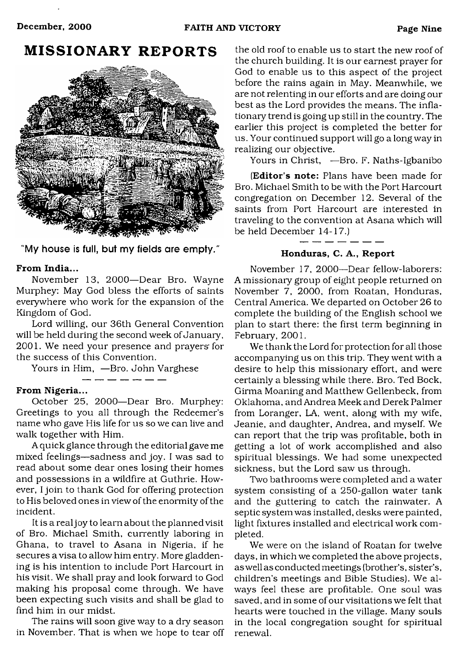# <span id="page-8-0"></span>**MISSIONARY REPORTS**



"My house is full, but my fields are empty.

#### **From India...**

November 13, 2000—Dear Bro. Wayne Murphey: May God bless the efforts of saints everywhere who work for the expansion of the Kingdom of God.

Lord willing, our 36th General Convention will be held during the second week of January, 2001. We need your presence and prayers' for the success of this Convention.

Yours in Him, —Bro. John Varghese

. <u>. . . . .</u> .

#### **From Nigeria...**

October 25, 2000—Dear Bro. Murphey: Greetings to you all through the Redeemer's name who gave His life for us so we can live and walk together with Him.

A quick glance through the editorial gave me mixed feelings—sadness and joy. I was sad to read about some dear ones losing their homes and possessions in a wildfire at Guthrie. However, I join to thank God for offering protection to His beloved ones in view of the enormity of the incident.

It is a real joy to learn about the planned visit of Bro. Michael Smith, currently laboring in Ghana, to travel to Asana in Nigeria, if he secures a visa to allow him entry. More gladdening is his intention to include Port Harcourt in his visit. We shall pray and look forward to God making his proposal come through. We have been expecting such visits and shall be glad to find him in our midst.

The rains will soon give way to a dry season in November. That is when we hope to tear off the old roof to enable us to start the new roof of the church building. It is our earnest prayer for God to enable us to this aspect of the project before the rains again in May. Meanwhile, we are not relenting in our efforts and are doing our best as the Lord provides the means. The inflationary trend is going up still in the country. The earlier this project is completed the better for us. Your continued support will go a long way in realizing our objective.

Yours in Christ, —Bro. F. Naths-Igbanibo

**(Editor's note:** Plans have been made for Bro. Michael Smith to be with the Port Harcourt congregation on December 12. Several of the saints from Port Harcourt are interested in traveling to the convention at Asana which will be held December 14-17.)

**Honduras, C. A., Report**

November 17, 2000—Dear fellow-laborers: A missionary group of eight people returned on November 7, 2000, from Roatan, Honduras, Central America. We departed on October 26 to complete the building of the English school we plan to start there: the first term beginning in February, 2001.

We thank the Lord for protection for all those accompanying us on this trip. They went with a desire to help this missionary effort, and were certainly a blessing while there. Bro. Ted Bock, Girma Moaning and Matthew Gellenbeck, from Oklahoma, and Andrea Meek and Derek Palmer from Loranger, LA, went, along with my wife, Jeanie, and daughter, Andrea, and myself. We can report that the trip was profitable, both in getting a lot of work accomplished and also spiritual blessings. We had some unexpected sickness, but the Lord saw us through.

Two bathrooms were completed and a water system consisting of a 250-gallon water tank and the guttering to catch the rainwater. A septic system was installed, desks were painted, light fixtures installed and electrical work completed.

We were on the island of Roatan for twelve days, in which we completed the above projects, as well as conducted meetings (brother's, sister's, children's meetings and Bible Studies). We always feel these are profitable. One soul was saved, and in some of our visitations we felt that hearts were touched in the village. Many souls in the local congregation sought for spiritual renewal.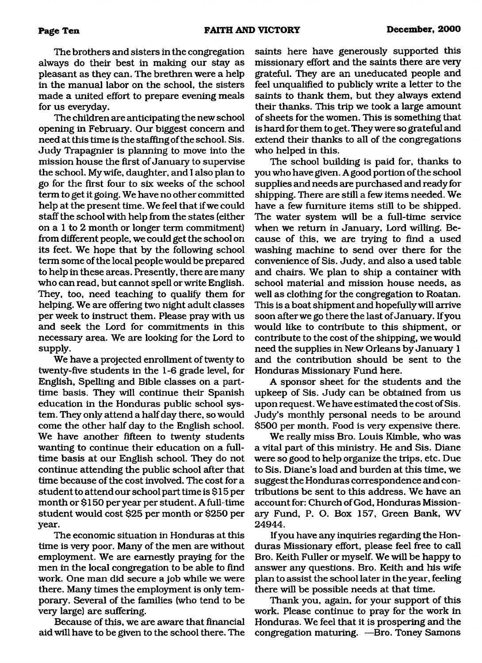The brothers and sisters in the congregation always do their best in making our stay as pleasant as they can. The brethren were a help in the manual labor on the school, the sisters made a united effort to prepare evening meals for us everyday.

The children are anticipating the new school opening in February. Our biggest concern and need at this time is the staffing of the school. Sis. Judy Trapagnier is planning to move into the mission house the first of January to supervise the school. My wife, daughter, and I also plan to go for the first four to six weeks of the school term to get it going. We have no other committed help at the present time. We feel that if we could staff the school with help from the states (either on a 1 to 2 month or longer term commitment) from different people, we could get the school on its feet. We hope that by the following school term some of the local people would be prepared to help in these areas. Presently, there are many who can read, but cannot spell or write English. They, too, need teaching to qualify them for helping. We are offering two night adult classes per week to instruct them. Please pray with us and seek the Lord for commitments in this necessary area. We are looking for the Lord to supply.

We have a projected enrollment of twenty to twenty-five students in the 1-6 grade level, for English, Spelling and Bible classes on a parttime basis. They will continue their Spanish education in the Honduras public school system. They only attend a half day there, so would come the other half day to the English school. We have another fifteen to twenty students wanting to continue their education on a fulltime basis at our English school. They do not continue attending the public school after that time because of the cost involved. The cost for a student to attend our school part time is \$15 per month or \$150 per year per student. A full-time student would cost \$25 per month or \$250 per year.

The economic situation in Honduras at this time is very poor. Many of the men are without employment. We are earnestly praying for the men in the local congregation to be able to find work. One man did secure a job while we were there. Many times the employment is only temporary. Several of the families (who tend to be very large) are suffering.

Because of this, we are aware that financial aid will have to be given to the school there. The saints here have generously supported this missionary effort and the saints there are very grateful. They are an uneducated people and feel unqualified to publicly write a letter to the saints to thank them, but they always extend their thanks. This trip we took a large amount of sheets for the women. This is something that is hard for them to get. They were so grateful and extend their thanks to all of the congregations who helped in this.

The school building is paid for, thanks to you who have given. A good portion of the school supplies and needs are purchased and ready for shipping. There are still a few items needed. We have a few furniture items still to be shipped. The water system will be a full-time service when we return in January, Lord willing. Because of this, we are trying to find a used washing machine to send over there for the convenience of Sis. Judy, and also a used table and chairs. We plan to ship a container with school material and mission house needs, as well as clothing for the congregation to Roatan. This is a boat shipment and hopefully will arrive soon after we go there the last of January. If you would like to contribute to this shipment, or contribute to the cost of the shipping, we would need the supplies in New Orleans by January 1 and the contribution should be sent to the Honduras Missionary Fund here.

A sponsor sheet for the students and the upkeep of Sis. Judy can be obtained from us upon request. We have estimated the cost of Sis. Judy's monthly personal needs to be around \$500 per month. Food is very expensive there.

We really miss Bro. Louis Kimble, who was a vital part of this ministry. He and Sis. Diane were so good to help organize the trips, etc. Due to Sis. Diane's load and burden at this time, we suggest the Honduras correspondence and contributions be sent to this address. We have an account for: Church of God, Honduras Missionary Fund, P. O. Box 157, Green Bank, WV 24944.

If you have any inquiries regarding the Honduras Missionary effort, please feel free to call Bro. Keith Fuller or myself. We will be happy to answer any questions. Bro. Keith and his wife plan to assist the school later in the year, feeling there will be possible needs at that time.

Thank you, again, for your support of this work. Please continue to pray for the work in Honduras. We feel that it is prospering and the congregation maturing. —Bro. Toney Samons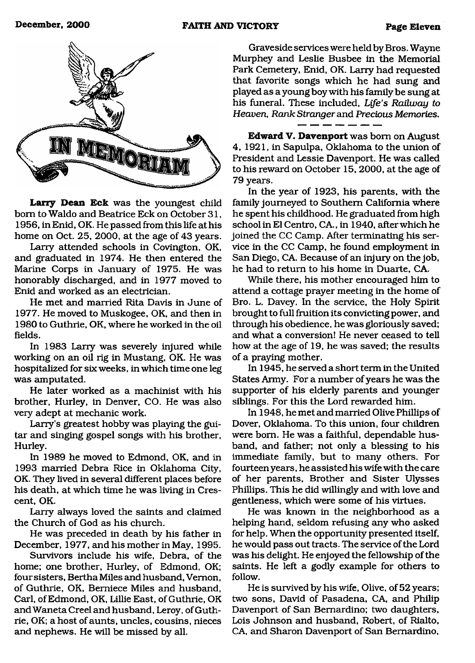

**Larry Dean Eck** was the youngest child bom to Waldo and Beatrice Eck on October 31, 1956, in Enid, OK. He passed from this life at his home on Oct. 25, 2000, at the age of 43 years.

Larry attended schools in Covington, OK, and graduated in 1974. He then entered the Marine Corps in January of 1975. He was honorably discharged, and in 1977 moved to Enid and worked as an electrician.

He met and married Rita Davis in June of 1977. He moved to Muskogee, OK, and then in 1980 to Guthrie, OK, where he worked in the oil fields.

In 1983 Larry was severely injured while working on an oil rig in Mustang, OK. He was hospitalized for six weeks, in which time one leg was amputated.

He later worked as a machinist with his brother, Hurley, in Denver, CO. He was also very adept at mechanic work.

Larry's greatest hobby was playing the guitar and singing gospel songs with his brother, Hurley.

In 1989 he moved to Edmond, OK, and in 1993 married Debra Rice in Oklahoma City, OK. They lived in several different places before his death, at which time he was living in Crescent, OK.

Larry always loved the saints and claimed the Church of God as his church.

He was preceded in death by his father in December, 1977, and his mother in May, 1995.

Survivors include his wife, Debra, of the home; one brother, Hurley, of Edmond, OK; four sisters, Bertha Miles and husband, Vernon, of Guthrie, OK, Bemiece Miles and husband, Carl, of Edmond, OK, Lillie East, of Guthrie, OK and Waneta Creel and husband, Leroy, of Guthrie, OK; a host of aunts, uncles, cousins, nieces and nephews. He will be missed by all.

Graveside services were held by Bros. Wayne Murphey and Leslie Busbee in the Memorial Park Cemetery, Enid, OK. Larry had requested that favorite songs which he had sung and played as a young boy with his family be sung at his funeral. These included, *Life's Railway to Heaven, Rank Stranger* and *Precious Memories.*

**Edward V. Davenport** was bom on August 4, 1921, in Sapulpa, Oklahoma to the union of President and Lessie Davenport. He was called to his reward on October 15, 2000, at the age of 79 years.

In the year of 1923, his parents, with the family journeyed to Southern California where he spent his childhood. He graduated from high school in El Centro, CA., in 1940, after which he joined the CC Camp. After terminating his service in the CC Camp, he found employment in San Diego, CA. Because of an injury on the job, he had to return to his home in Duarte, CA.

While there, his mother encouraged him to attend a cottage prayer meeting in the home of Bro. L. Davey. In the service, the Holy Spirit brought to full fruition its convicting power, and through his obedience, he was gloriously saved; and what a conversion! He never ceased to tell how at the age of 19, he was saved; the results of a praying mother.

In 1945, he served a short term in the United States Army. For a number of years he was the supporter of his elderly parents and younger siblings. For this the Lord rewarded him.

In 1948, he met and married Olive Phillips of Dover, Oklahoma. To this union, four children were bom. He was a faithful, dependable husband, and father; not only a blessing to his immediate family, but to many others. For fourteen years, he assisted his wife with the care of her parents, Brother and Sister Ulysses Phillips. This he did willingly and with love and gentleness, which were some of his virtues.

He was known in the neighborhood as a helping hand, seldom refusing any who asked for help. When the opportunity presented itself, he would pass out tracts. The service of the Lord was his delight. He enjoyed the fellowship of the saints. He left a godly example for others to follow.

He is survived by his wife, Olive, of 52 years; two sons, David of Pasadena, CA, and Philip Davenport of San Bernardino; two daughters, Lois Johnson and husband, Robert, of Rialto, CA, and Sharon Davenport of San Bernardino,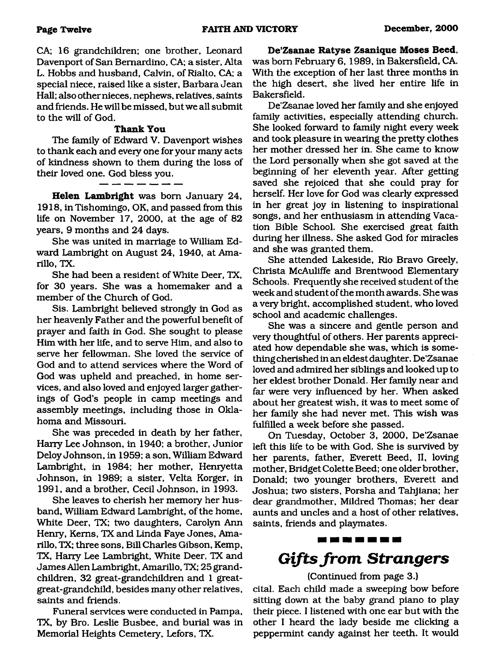CA; 16 grandchildren; one brother, Leonard Davenport of San Bernardino, CA; a sister, Alta L. Hobbs and husband, Calvin, of Rialto, CA; a special niece, raised like a sister, Barbara Jean Hall; also other nieces, nephews, relatives, saints and friends. He will be missed, but we all submit to the will of God.

#### **Thank You**

The family of Edward V. Davenport wishes to thank each and every one for your many acts of kindness shown to them during the loss of their loved one. God bless you.

**Helen Lambright** was born January 24, 1918, in Tishomingo, OK, and passed from this life on November 17, 2000, at the age of 82 years, 9 months and 24 days.

She was united in marriage to William Edward Lambright on August 24, 1940, at Amarillo, TX.

She had been a resident of White Deer, TX, for 30 years. She was a homemaker and a member of the Church of God.

Sis. Lambright believed strongly in God as her heavenly Father and the powerful benefit of prayer and faith in God. She sought to please Him with her life, and to serve Him, and also to serve her fellowman. She loved the service of God and to attend services where the Word of God was upheld and preached, in home services, and also loved and enjoyed larger gatherings of God's people in camp meetings and assembly meetings, including those in Oklahoma and Missouri.

She was preceded in death by her father, Harry Lee Johnson, in 1940; a brother, Junior Deloy Johnson, in 1959; a son, William Edward Lambright, in 1984; her mother, Henryetta Johnson, in 1989; a sister, Velta Korger, in 1991, and a brother, Cecil Johnson, in 1993.

She leaves to cherish her memory her husband, William Edward Lambright, of the home, White Deer, TX; two daughters, Carolyn Ann Henry, Kerns, TX and Linda Faye Jones, Amarillo, TX; three sons, Bill Charles Gibson, Kemp, TX, Harry Lee Lambright, White Deer, TX and James Allen Lambright, Amarillo, TX; 25 grandchildren, 32 great-grandchildren and 1 greatgreat-grandchild, besides many other relatives, saints and friends.

Funeral services were conducted in Pampa, TX, by Bro. Leslie Busbee, and burial was in Memorial Heights Cemetery, Lefors, TX.

**De'Zsanae Ratyse Zsanique Moses Beed,** was bom February 6, 1989, in Bakersfield, CA. With the exception of her last three months in the high desert, she lived her entire life in Bakersfield.

De'Zsanae loved her family and she enjoyed family activities, especially attending church. She looked forward to family night every week and took pleasure in wearing the pretty clothes her mother dressed her in. She came to know the Lord personally when she got saved at the beginning of her eleventh year. After getting saved she rejoiced that she could pray for herself. Her love for God was clearly expressed in her great joy in listening to inspirational songs, and her enthusiasm in attending Vacation Bible School. She exercised great faith during her illness. She asked God for miracles and she was granted them.

She attended Lakeside, Rio Bravo Greely, Christa McAuliffe and Brentwood Elementary Schools. Frequently she received student of the week and student of the month awards. She was a very bright, accomplished student, who loved school and academic challenges.

She was a sincere and gentle person and very thoughtful of others. Her parents appreciated how dependable she was, which is something cherished in an eldest daughter. De'Zsanae loved and admired her siblings and looked up to her eldest brother Donald. Her family near and far were very influenced by her. When asked about her greatest wish, it was to meet some of her family she had never met. This wish was fulfilled a week before she passed.

On Tuesday, October 3, 2000, De'Zsanae left this life to be with God. She is survived by her parents, father, Everett Beed, II, loving mother, Bridget Colette Beed; one older brother, Donald; two younger brothers, Everett and Joshua; two sisters, Porsha and Tahjiana; her dear grandmother, Mildred Thomas; her dear aunts and uncles and a host of other relatives, saints, friends and playmates.

# -------*Gifts from Strangers*

(Continued from page 3.)

cital. Each child made a sweeping bow before sitting down at the baby grand piano to play their piece. I listened with one ear but with the other I heard the lady beside me clicking a peppermint candy against her teeth. It would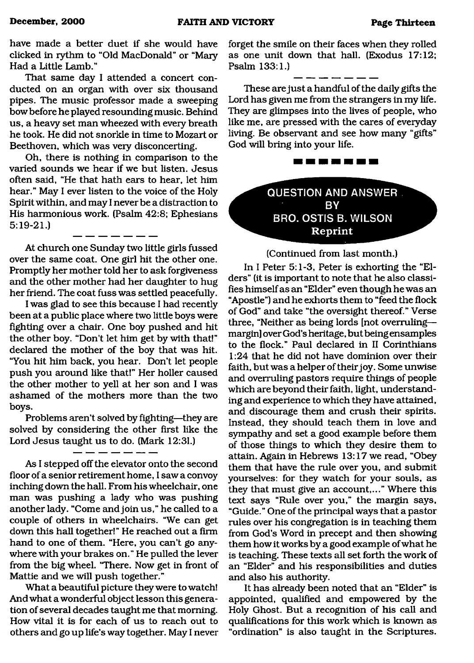have made a better duet if she would have clicked in rythm to "Old MacDonald" or "Mary Had a Little Lamb."

That same day I attended a concert conducted on an organ with over six thousand pipes. The music professor made a sweeping bow before he played resounding music. Behind us, a heavy set man wheezed with every breath he took. He did not snorkle in time to Mozart or Beethoven, which was very disconcerting.

Oh, there is nothing in comparison to the varied sounds we hear if we but listen. Jesus often said, "He that hath ears to hear, let him hear." May I ever listen to the voice of the Holy Spirit within, and may I never be a distraction to His harmonious work. (Psalm 42:8; Ephesians 5:19-21.)

At church one Sunday two little girls fussed over the same coat. One girl hit the other one. Promptly her mother told her to ask forgiveness and the other mother had her daughter to hug her friend. The coat fuss was settled peacefully.

I was glad to see this because I had recently been at a public place where two little boys were fighting over a chair. One boy pushed and hit the other boy. "Don't let him get by with that!" declared the mother of the boy that was hit. "You hit him back, you hear. Don't let people push you around like that!" Her holler caused the other mother to yell at her son and I was ashamed of the mothers more than the two boys.

Problems aren't solved by fighting—they are solved by considering the other first like the Lord Jesus taught us to do. (Mark 12:31.)

As I stepped off the elevator onto the second floor of a senior retirement home, I saw a convoy inching down the hall. From his wheelchair, one man was pushing a lady who was pushing another lady. "Come and join us," he called to a couple of others in wheelchairs. "We can get down this hall together!" He reached out a firm hand to one of them. "Here, you can't go anywhere with your brakes on." He pulled the lever from the big wheel. "There. Now get in front of Mattie and we will push together."

What a beautiful picture they were to watch! And what a wonderful object lesson this generation of several decades taught me that morning. How vital it is for each of us to reach out to others and go up life's way together. May I never forget the smile on their faces when they rolled as one unit down that hall. (Exodus 17:12; Psalm 133:1.)

These are just a handful of the daily gifts the Lord has given me from the strangers in my life. They are glimpses into the lives of people, who like me, are pressed with the cares of everyday living. Be observant and see how many "gifts" God will bring into your life.



<span id="page-12-0"></span>**QUESTION AND ANSWER BY BRO. O STIS B. W ILSON Reprint**

(Continued from last month.)

In I Peter 5:1-3, Peter is exhorting the "Elders" (it is important to note that he also classifies himself as an "Elder" even though he was an "Apostle") and he exhorts them to "feed the flock of God" and take "the oversight thereof." Verse three, "Neither as being lords [not overruling margin] over God's heritage, but being ensamples to the flock." Paul declared in II Corinthians 1:24 that he did not have dominion over their faith, but was a helper of their joy. Some unwise and overruling pastors require things of people which are beyond their faith, light, understanding and experience to which they have attained, and discourage them and crush their spirits. Instead, they should teach them in love and sympathy and set a good example before them of those things to which they desire them to attain. Again in Hebrews 13:17 we read, "Obey them that have the rule over you, and submit yourselves: for they watch for your souls, as they that must give an account,..." Where this text says "Rule over you," the margin says, "Guide." One of the principal ways that a pastor rules over his congregation is in teaching them from God's Word in precept and then showing them how it works by a good example of what he is teaching. These texts all set forth the work of an "Elder" and his responsibilities and duties and also his authority.

It has already been noted that an "Elder" is appointed, qualified and empowered by the Holy Ghost. But a recognition of his call and qualifications for this work which is known as "ordination" is also taught in the Scriptures.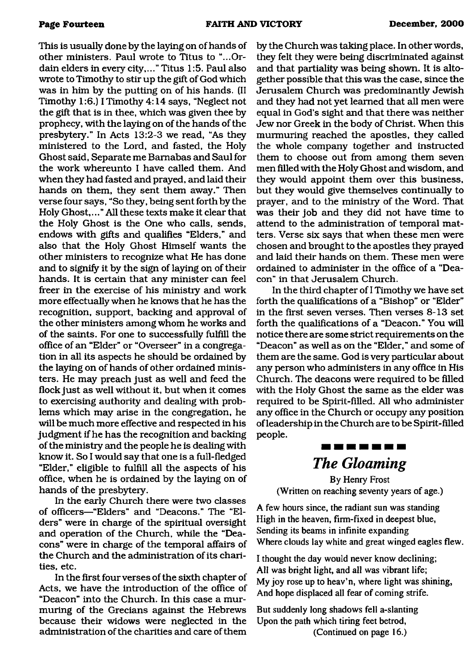This is usually done by the laying on of hands of other ministers. Paul wrote to Titus to "...Ordain elders in every city,..." Titus 1:5. Paul also wrote to Timothy to stir up the gift of God which was in him by the putting on of his hands. (II Timothy 1:6.) I Timothy 4:14 says, "Neglect not the gift that is in thee, which was given thee by prophecy, with the laying on of the hands of the presbytery." In Acts 13:2-3 we read, "As they ministered to the Lord, and fasted, the Holy Ghost said, Separate me Barnabas and Saul for the work whereunto I have called them. And when they had fasted and prayed, and laid their hands on them, they sent them away." Then verse four says, "So they, being sent forth by the Holy Ghost,..." All these texts make it clear that the Holy Ghost is the One who calls, sends, endows with gifts and qualifies "Elders," and also that the Holy Ghost Himself wants the other ministers to recognize what He has done and to signify it by the sign of laying on of their hands. It is certain that any minister can feel freer in the exercise of his ministry and work more effectually when he knows that he has the recognition, support, backing and approval of the other ministers among whom he works and of the saints. For one to successfully fulfill the office of an "Elder" or "Overseer" in a congregation in all its aspects he should be ordained by the laying on of hands of other ordained ministers. He may preach just as well and feed the flock just as well without it, but when it comes to exercising authority and dealing with problems which may arise in the congregation, he will be much more effective and respected in his judgment if he has the recognition and backing of the ministry and the people he is dealing with know it. So I would say that one is a full-fledged "Elder," eligible to fulfill all the aspects of his office, when he is ordained by the laying on of hands of the presbytery.

In the early Church there were two classes of officers—"Elders" and "Deacons." The "Elders" were in charge of the spiritual oversight and operation of the Church, while the "Deacons" were in charge of the temporal affairs of the Church and the administration of its charities, etc.

In the first four verses of the sixth chapter of Acts, we have the introduction of the office of "Deacon" into the Church. In this case a murmuring of the Grecians against the Hebrews because their widows were neglected in the administration of the charities and care of them by the Church was taking place. In other words, they felt they were being discriminated against and that partiality was being shown. It is altogether possible that this was the case, since the Jerusalem Church was predominantly Jewish and they had not yet learned that all men were equal in God's sight and that there was neither Jew nor Greek in the body of Christ. When this murmuring reached the apostles, they called the whole company together and instructed them to choose out from among them seven men filled with the Holy Ghost and wisdom, and they would appoint them over this business, but they would give themselves continually to prayer, and to the ministry of the Word. That was their job and they did not have time to attend to the administration of temporal matters. Verse six says that when these men were chosen and brought to the apostles they prayed and laid their hands on them. These men were ordained to administer in the office of a "Deacon" in that Jerusalem Church.

In the third chapter of I Timothy we have set forth the qualifications of a "Bishop" or "Elder" in the first seven verses. Then verses 8-13 set forth the qualifications of a "Deacon." You will notice there are some strict requirements on the "Deacon" as well as on the "Elder," and some of them are the same. God is very particular about any person who administers in any office in His Church. The deacons were required to be filled with the Holy Ghost the same as the elder was required to be Spirit-filled. All who administer any office in the Church or occupy any position of leadership in the Church are to be Spirit-filled people.

## -------*The Gloaming*

By Henry Frost (Written on reaching seventy years of age.)

A few hours since, the radiant sun was standing High in the heaven, firm-fixed in deepest blue, Sending its beams in infinite expanding Where clouds lay white and great winged eagles flew.

I thought the day would never know declining; All was bright light, and all was vibrant life; My joy rose up to heav'n, where light was shining, And hope displaced all fear of coming strife.

But suddenly long shadows fell a-slanting Upon the path which tiring feet betrod, (Continued on page 16.)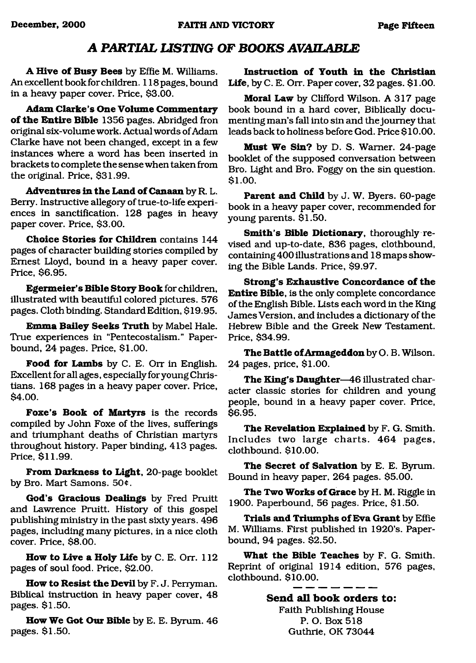### *A PARTIAL LISTING OF BOOKS AVAILABLE*

A Hive of Busy Bees by Effie M. Williams. An excellent book for children. 118pages, bound in a heavy paper cover. Price, \$3.00.

**Adam Clarke's One Volume Commentary** of the Entire Bible 1356 pages. Abridged fron original six-volume work. Actual words of Adam Clarke have not been changed, except in a few instances where a word has been inserted in brackets to complete the sense when taken from the original. Price, \$31.99.

Adventures in the Land of Canaan by R. L. Berry. Instructive allegory of true-to-life experiences in sanctification. 128 pages in heavy paper cover. Price, \$3.00.

**Choice Stories for Children** contains 144 pages of character building stories compiled by Ernest Lloyd, bound in a heavy paper cover. Price, \$6.95.

**Egermeier's Bible Story Book** for children, illustrated with beautiful colored pictures. 576 pages. Cloth binding. Standard Edition, \$19.95.

**Emma Bailey Seeks Truth** by Mabel Hale. True experiences in "Pentecostalism." Paperbound, 24 pages. Price, \$1.00.

**Food for Lambs** by C. E. Orr in English. Excellent for all ages, especially for young Christians. 168 pages in a heavy paper cover. Price, \$4.00.

Foxe's Book of Martyrs is the records compiled by John Foxe of the lives, sufferings and triumphant deaths of Christian martyrs throughout history. Paper binding, 413 pages. Price, \$11.99.

**From Darkness to Light,** 20-page booklet by Bro. Mart Samons. 50¢.

**God's Gracious Dealings** by Fred Pruitt and Lawrence Pruitt. History of this gospel publishing ministry in the past sixty years. 496 pages, including many pictures, in a nice cloth cover. Price, \$8.00.

**How to Live a Holy Life** by C. E. Orr. 112 pages of soul food. Price, \$2.00.

**How to Resist the Devil** by F. J. Perryman. Biblical instruction in heavy paper cover, 48 pages. \$1.50.

**How We Got Our Bible** by E. E. Byrum. 46 pages. \$1.50.

**Instruction of Youth in the Christian Life,** by C. E. Orr. Paper cover, 32 pages. \$1.00.

**Moral Law** by Clifford Wilson. A 317 page book bound in a hard cover, Biblically documenting man's fall into sin and the journey that leads back to holiness before God. Price \$10.00.

**Must We Sin?** by D. S. Warner. 24-page booklet of the supposed conversation between Bro. Light and Bro. Foggy on the sin question. \$ 1.00.

**Parent and Child** by J. W. Byers. 60-page book in a heavy paper cover, recommended for young parents. \$1.50.

Smith's Bible Dictionary, thoroughly revised and up-to-date, 836 pages, clothbound, containing400 illustrations and 18 maps showing the Bible Lands. Price, \$9.97.

**Strong's Exhaustive Concordance of the Entire Bible,** is the only complete concordance of the English Bible. Lists each word in the King James Version, and includes a dictionary of the Hebrew Bible and the Greek New Testament. Price, \$34.99.

**The Battle of Armageddon** by O. B. Wilson. 24 pages, price, \$1.00.

**The King's Daughter**—46 illustrated character classic stories for children and young people, bound in a heavy paper cover. Price, \$6.95.

**The Revelation Explained** by F. G. Smith. Includes two large charts. 464 pages, clothbound. \$10.00.

The Secret of Salvation by E. E. Byrum. Bound in heavy paper, 264 pages. \$5.00.

**The Two Works of Grace** by H. M. Riggle in 1900. Paperbound, 56 pages. Price, \$1.50.

**Trials and Triumphs of Eva Grant** by Effie M. Williams. First published in 1920's. Paperbound, 94 pages. \$2.50.

**What the Bible Teaches** by F. G. Smith. Reprint of original 1914 edition, 576 pages, clothbound. \$10.00.

> **Send all book orders to:** Faith Publishing House P. O. Box 518 Guthrie, OK 73044